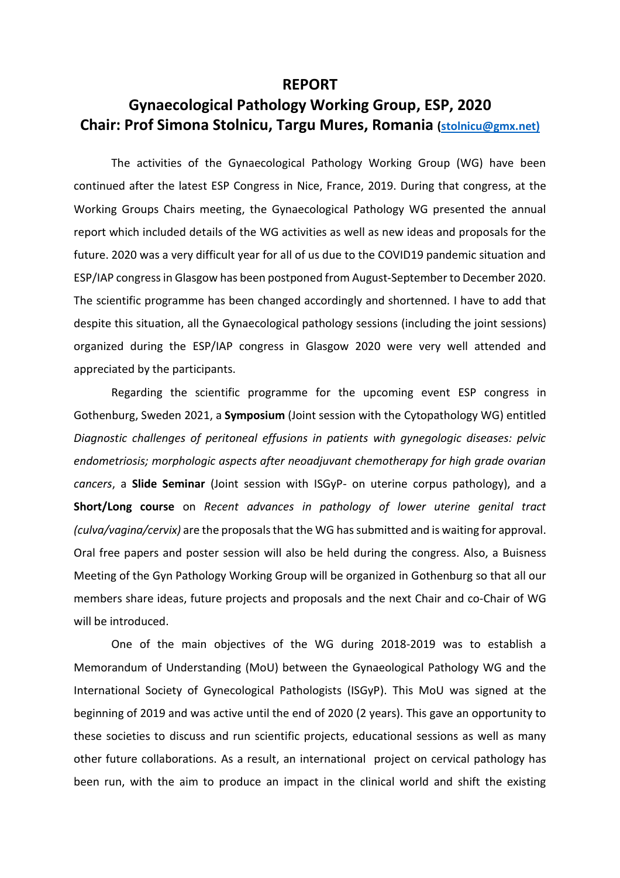## **REPORT**

## **Gynaecological Pathology Working Group, ESP, 2020 Chair: Prof Simona Stolnicu, Targu Mures, Romania [\(stolnicu@gmx.net\)](mailto:stolnicu@gmx.net))**

The activities of the Gynaecological Pathology Working Group (WG) have been continued after the latest ESP Congress in Nice, France, 2019. During that congress, at the Working Groups Chairs meeting, the Gynaecological Pathology WG presented the annual report which included details of the WG activities as well as new ideas and proposals for the future. 2020 was a very difficult year for all of us due to the COVID19 pandemic situation and ESP/IAP congress in Glasgow has been postponed from August-September to December 2020. The scientific programme has been changed accordingly and shortenned. I have to add that despite this situation, all the Gynaecological pathology sessions (including the joint sessions) organized during the ESP/IAP congress in Glasgow 2020 were very well attended and appreciated by the participants.

Regarding the scientific programme for the upcoming event ESP congress in Gothenburg, Sweden 2021, a **Symposium** (Joint session with the Cytopathology WG) entitled *Diagnostic challenges of peritoneal effusions in patients with gynegologic diseases: pelvic endometriosis; morphologic aspects after neoadjuvant chemotherapy for high grade ovarian cancers*, a **Slide Seminar** (Joint session with ISGyP- on uterine corpus pathology), and a **Short/Long course** on *Recent advances in pathology of lower uterine genital tract (culva/vagina/cervix)* are the proposals that the WG has submitted and is waiting for approval. Oral free papers and poster session will also be held during the congress. Also, a Buisness Meeting of the Gyn Pathology Working Group will be organized in Gothenburg so that all our members share ideas, future projects and proposals and the next Chair and co-Chair of WG will be introduced.

One of the main objectives of the WG during 2018-2019 was to establish a Memorandum of Understanding (MoU) between the Gynaeological Pathology WG and the International Society of Gynecological Pathologists (ISGyP). This MoU was signed at the beginning of 2019 and was active until the end of 2020 (2 years). This gave an opportunity to these societies to discuss and run scientific projects, educational sessions as well as many other future collaborations. As a result, an international project on cervical pathology has been run, with the aim to produce an impact in the clinical world and shift the existing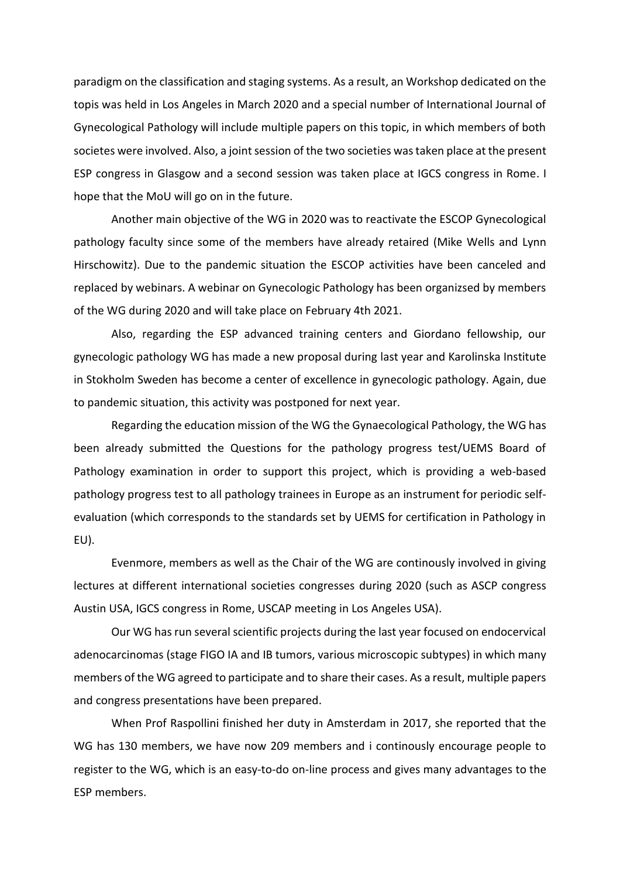paradigm on the classification and staging systems. As a result, an Workshop dedicated on the topis was held in Los Angeles in March 2020 and a special number of International Journal of Gynecological Pathology will include multiple papers on this topic, in which members of both societes were involved. Also, a joint session of the two societies was taken place at the present ESP congress in Glasgow and a second session was taken place at IGCS congress in Rome. I hope that the MoU will go on in the future.

Another main objective of the WG in 2020 was to reactivate the ESCOP Gynecological pathology faculty since some of the members have already retaired (Mike Wells and Lynn Hirschowitz). Due to the pandemic situation the ESCOP activities have been canceled and replaced by webinars. A webinar on Gynecologic Pathology has been organizsed by members of the WG during 2020 and will take place on February 4th 2021.

Also, regarding the ESP advanced training centers and Giordano fellowship, our gynecologic pathology WG has made a new proposal during last year and Karolinska Institute in Stokholm Sweden has become a center of excellence in gynecologic pathology. Again, due to pandemic situation, this activity was postponed for next year.

Regarding the education mission of the WG the Gynaecological Pathology, the WG has been already submitted the Questions for the pathology progress test/UEMS Board of Pathology examination in order to support this project, which is providing a web-based pathology progress test to all pathology trainees in Europe as an instrument for periodic selfevaluation (which corresponds to the standards set by UEMS for certification in Pathology in EU).

Evenmore, members as well as the Chair of the WG are continously involved in giving lectures at different international societies congresses during 2020 (such as ASCP congress Austin USA, IGCS congress in Rome, USCAP meeting in Los Angeles USA).

Our WG has run several scientific projects during the last year focused on endocervical adenocarcinomas (stage FIGO IA and IB tumors, various microscopic subtypes) in which many members of the WG agreed to participate and to share their cases. As a result, multiple papers and congress presentations have been prepared.

When Prof Raspollini finished her duty in Amsterdam in 2017, she reported that the WG has 130 members, we have now 209 members and i continously encourage people to register to the WG, which is an easy-to-do on-line process and gives many advantages to the ESP members.